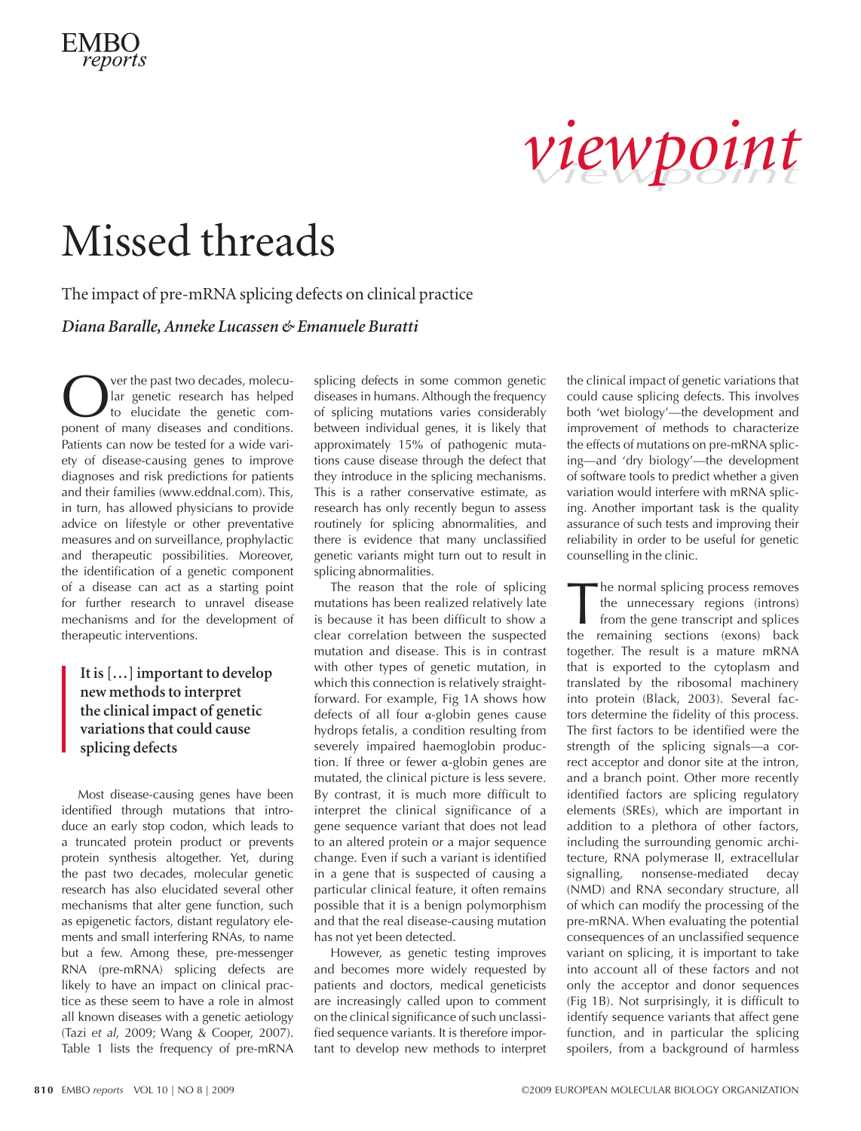



# Missed threads

The impact of pre-mRNA splicing defects on clinical practice *Diana Baralle, Anneke Lucassen & Emanuele Buratti*

Over the past two decades, molecu-<br>to elucidate the genetic com-<br>ponent of many diseases and conditions lar genetic research has helped ponent of many diseases and conditions. Patients can now be tested for a wide variety of disease-causing genes to improve diagnoses and risk predictions for patients and their families [\(www.eddnal.com\)](http://www.eddnal.com). This, in turn, has allowed physicians to provide advice on lifestyle or other preventative measures and on surveillance, prophylactic and therapeutic possibilities. Moreover, the identification of a genetic component of a disease can act as a starting point for further research to unravel disease mechanisms and for the development of therapeutic interventions.

### **It is […] important to develop new methods to interpret the clinical impact of genetic variations that could cause splicing defects**

Most disease-causing genes have been identified through mutations that introduce an early stop codon, which leads to a truncated protein product or prevents protein synthesis altogether. Yet, during the past two decades, molecular genetic research has also elucidated several other mechanisms that alter gene function, such as epigenetic factors, distant regulatory elements and small interfering RNAs, to name but a few. Among these, pre-messenger RNA (pre-mRNA) splicing defects are likely to have an impact on clinical practice as these seem to have a role in almost all known diseases with a genetic aetiology (Tazi *et al*, 2009; Wang & Cooper, 2007). Table 1 lists the frequency of pre-mRNA

splicing defects in some common genetic diseases in humans. Although the frequency of splicing mutations varies considerably between individual genes, it is likely that approximately 15% of pathogenic mutations cause disease through the defect that they introduce in the splicing mechanisms. This is a rather conservative estimate, as research has only recently begun to assess routinely for splicing abnormalities, and there is evidence that many unclassified genetic variants might turn out to result in splicing abnormalities.

The reason that the role of splicing mutations has been realized relatively late is because it has been difficult to show a clear correlation between the suspected mutation and disease. This is in contrast with other types of genetic mutation, in which this connection is relatively straightforward. For example, Fig 1A shows how defects of all four α-globin genes cause hydrops fetalis, a condition resulting from severely impaired haemoglobin production. If three or fewer α-globin genes are mutated, the clinical picture is less severe. By contrast, it is much more difficult to interpret the clinical significance of a gene sequence variant that does not lead to an altered protein or a major sequence change. Even if such a variant is identified in a gene that is suspected of causing a particular clinical feature, it often remains possible that it is a benign polymorphism and that the real disease-causing mutation has not yet been detected.

However, as genetic testing improves and becomes more widely requested by patients and doctors, medical geneticists are increasingly called upon to comment on the clinical significance of such unclassified sequence variants. It is therefore important to develop new methods to interpret the clinical impact of genetic variations that could cause splicing defects. This involves both 'wet biology'—the development and improvement of methods to characterize the effects of mutations on pre-mRNA splicing—and 'dry biology'—the development of software tools to predict whether a given variation would interfere with mRNA splicing. Another important task is the quality assurance of such tests and improving their reliability in order to be useful for genetic counselling in the clinic.

The normal splicing process removes the unnecessary regions (introns) from the gene transcript and splices the remaining sections (exons) back together. The result is a mature mRNA that is exported to the cytoplasm and translated by the ribosomal machinery into protein (Black, 2003). Several factors determine the fidelity of this process. The first factors to be identified were the strength of the splicing signals—a correct acceptor and donor site at the intron, and a branch point. Other more recently identified factors are splicing regulatory elements (SREs), which are important in addition to a plethora of other factors, including the surrounding genomic architecture, RNA polymerase II, extracellular signalling, nonsense-mediated decay (NMD) and RNA secondary structure, all of which can modify the processing of the pre-mRNA. When evaluating the potential consequences of an unclassified sequence variant on splicing, it is important to take into account all of these factors and not only the acceptor and donor sequences (Fig 1B). Not surprisingly, it is difficult to identify sequence variants that affect gene function, and in particular the splicing spoilers, from a background of harmless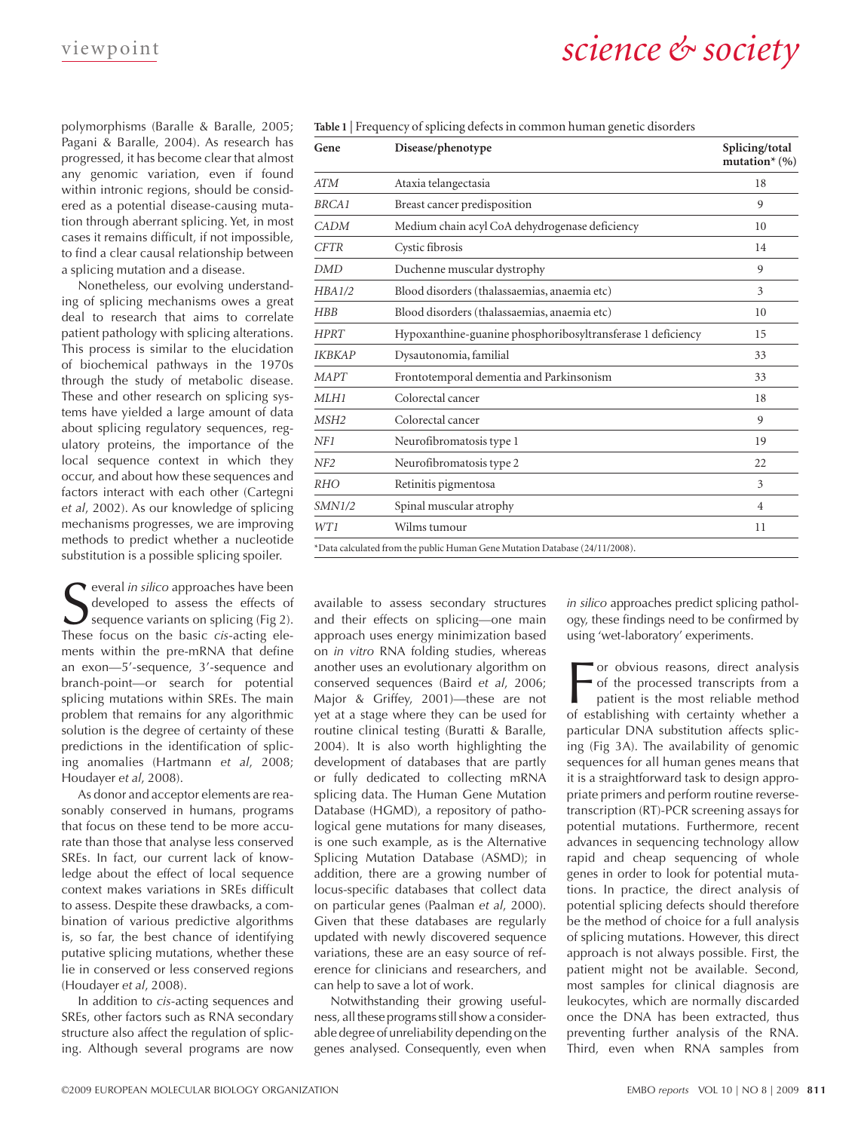polymorphisms (Baralle & Baralle, 2005; Pagani & Baralle, 2004). As research has progressed, it has become clear that almost any genomic variation, even if found within intronic regions, should be considered as a potential disease-causing mutation through aberrant splicing. Yet, in most cases it remains difficult, if not impossible, to find a clear causal relationship between a splicing mutation and a disease.

Nonetheless, our evolving understanding of splicing mechanisms owes a great deal to research that aims to correlate patient pathology with splicing alterations. This process is similar to the elucidation of biochemical pathways in the 1970s through the study of metabolic disease. These and other research on splicing systems have yielded a large amount of data about splicing regulatory sequences, regulatory proteins, the importance of the local sequence context in which they occur, and about how these sequences and factors interact with each other (Cartegni *et al*, 2002). As our knowledge of splicing mechanisms progresses, we are improving methods to predict whether a nucleotide substitution is a possible splicing spoiler.

Several *in silico* approaches have been<br>developed to assess the effects of<br>sequence variants on splicing (Fig 2).<br>These focus on the basic cis-acting eleeveral *in silico* approaches have been developed to assess the effects of These focus on the basic *cis*-acting elements within the pre-mRNA that define an exon—5'-sequence, 3'-sequence and branch-point—or search for potential splicing mutations within SREs. The main problem that remains for any algorithmic solution is the degree of certainty of these predictions in the identification of splicing anomalies (Hartmann *et al*, 2008; Houdayer *et al*, 2008).

As donor and acceptor elements are reasonably conserved in humans, programs that focus on these tend to be more accurate than those that analyse less conserved SREs. In fact, our current lack of knowledge about the effect of local sequence context makes variations in SREs difficult to assess. Despite these drawbacks, a combination of various predictive algorithms is, so far, the best chance of identifying putative splicing mutations, whether these lie in conserved or less conserved regions (Houdayer *et al*, 2008).

In addition to *cis*-acting sequences and SREs, other factors such as RNA secondary structure also affect the regulation of splicing. Although several programs are now

| Gene | Disease/phenotype | Splicing/total       |
|------|-------------------|----------------------|
|      |                   | $m$ utation $*(0/2)$ |

| Gene             | Disease/phenotype                                                           | Splicing/total<br>mutation* $(\%)$ |
|------------------|-----------------------------------------------------------------------------|------------------------------------|
| <b>ATM</b>       | Ataxia telangectasia                                                        | 18                                 |
| BRCA1            | Breast cancer predisposition                                                | 9                                  |
| <b>CADM</b>      | Medium chain acyl CoA dehydrogenase deficiency                              | 10                                 |
| <b>CFTR</b>      | Cystic fibrosis                                                             | 14                                 |
| DMD              | Duchenne muscular dystrophy                                                 | 9                                  |
| HBA1/2           | Blood disorders (thalassaemias, anaemia etc)                                | 3                                  |
| HBB              | Blood disorders (thalassaemias, anaemia etc)                                | 10                                 |
| HPRT             | Hypoxanthine-guanine phosphoribosyltransferase 1 deficiency                 | 15                                 |
| IKBKAP           | Dysautonomia, familial                                                      | 33                                 |
| MAPT             | Frontotemporal dementia and Parkinsonism                                    | 33                                 |
| MLH1             | Colorectal cancer                                                           | 18                                 |
| MSH <sub>2</sub> | Colorectal cancer                                                           | 9                                  |
| NF1              | Neurofibromatosis type 1                                                    | 19                                 |
| NF2              | Neurofibromatosis type 2                                                    | 22                                 |
| RHO              | Retinitis pigmentosa                                                        | 3                                  |
| <i>SMN1/2</i>    | Spinal muscular atrophy                                                     | 4                                  |
| WT1              | Wilms tumour                                                                | 11                                 |
|                  | *Data calculated from the public Human Gene Mutation Database (24/11/2008). |                                    |
|                  |                                                                             |                                    |

available to assess secondary structures and their effects on splicing—one main approach uses energy minimization based on *in vitro* RNA folding studies, whereas another uses an evolutionary algorithm on conserved sequences (Baird *et al*, 2006; Major & Griffey, 2001)—these are not yet at a stage where they can be used for routine clinical testing (Buratti & Baralle, 2004). It is also worth highlighting the development of databases that are partly or fully dedicated to collecting mRNA splicing data. The Human Gene Mutation Database (HGMD), a repository of pathological gene mutations for many diseases, is one such example, as is the Alternative Splicing Mutation Database (ASMD); in addition, there are a growing number of locus-specific databases that collect data on particular genes (Paalman *et al*, 2000). Given that these databases are regularly updated with newly discovered sequence variations, these are an easy source of reference for clinicians and researchers, and can help to save a lot of work.

Notwithstanding their growing usefulness, all these programs still show a considerable degree of unreliability depending on the genes analysed. Consequently, even when *in silico* approaches predict splicing pathology, these findings need to be confirmed by using 'wet-laboratory' experiments.

For obvious reasons, direct analysis<br>of the processed transcripts from a<br>patient is the most reliable method<br>of establishing with certainty whether a or obvious reasons, direct analysis of the processed transcripts from a patient is the most reliable method particular DNA substitution affects splicing (Fig 3A). The availability of genomic sequences for all human genes means that it is a straightforward task to design appropriate primers and perform routine reversetranscription (RT)-PCR screening assays for potential mutations. Furthermore, recent advances in sequencing technology allow rapid and cheap sequencing of whole genes in order to look for potential mutations. In practice, the direct analysis of potential splicing defects should therefore be the method of choice for a full analysis of splicing mutations. However, this direct approach is not always possible. First, the patient might not be available. Second, most samples for clinical diagnosis are leukocytes, which are normally discarded once the DNA has been extracted, thus preventing further analysis of the RNA. Third, even when RNA samples from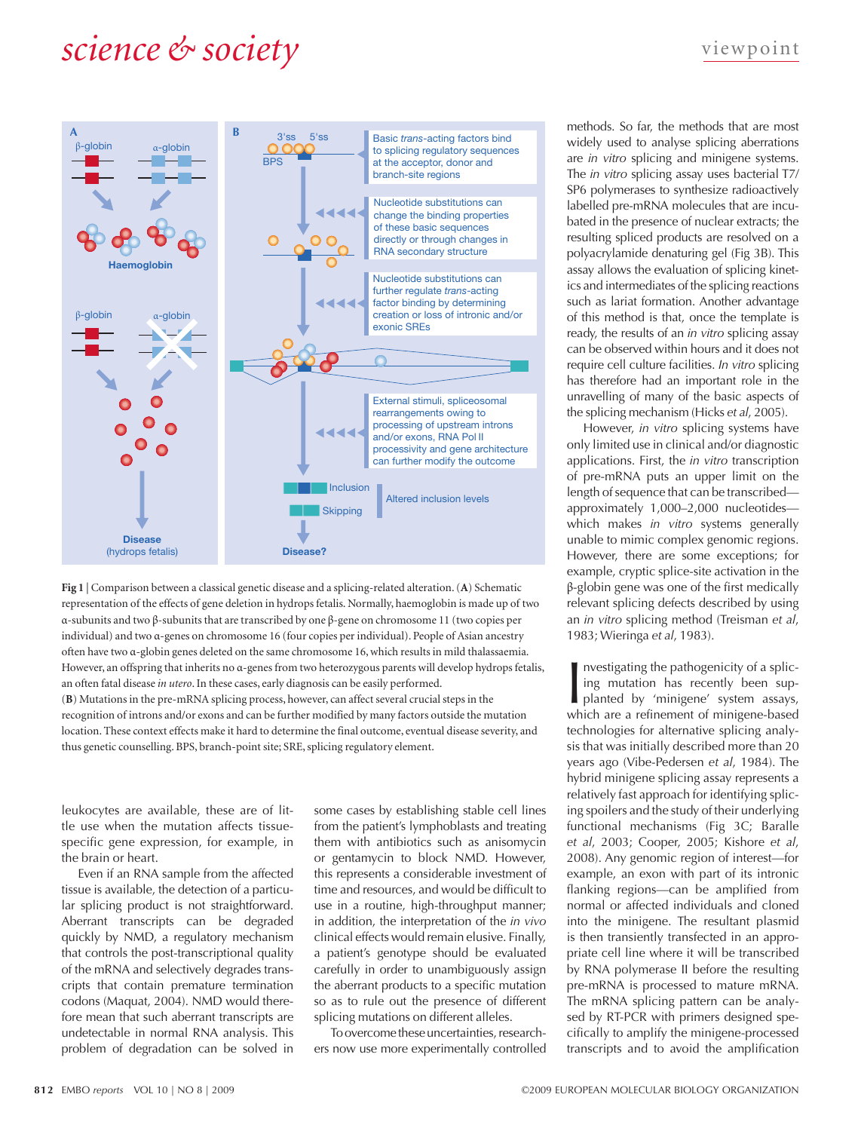### *science & society* viewpoint



**Fig 1** | Comparison between a classical genetic disease and a splicing-related alteration. (**A**) Schematic representation of the effects of gene deletion in hydrops fetalis. Normally, haemoglobin is made up of two α-subunits and two β-subunits that are transcribed by one β-gene on chromosome 11 (two copies per individual) and two α-genes on chromosome 16 (four copies per individual). People of Asian ancestry often have two α-globin genes deleted on the same chromosome 16, which results in mild thalassaemia. However, an offspring that inherits no α-genes from two heterozygous parents will develop hydrops fetalis, an often fatal disease *in utero*. In these cases, early diagnosis can be easily performed.

(**B**) Mutations in the pre-mRNA splicing process, however, can affect several crucial steps in the recognition of introns and/or exons and can be further modified by many factors outside the mutation location. These context effects make it hard to determine the final outcome, eventual disease severity, and thus genetic counselling. BPS, branch-point site; SRE, splicing regulatory element.

leukocytes are available, these are of little use when the mutation affects tissuespecific gene expression, for example, in the brain or heart.

Even if an RNA sample from the affected tissue is available, the detection of a particular splicing product is not straightforward. Aberrant transcripts can be degraded quickly by NMD, a regulatory mechanism that controls the post-transcriptional quality of the mRNA and selectively degrades transcripts that contain premature termination codons (Maquat, 2004). NMD would therefore mean that such aberrant transcripts are undetectable in normal RNA analysis. This problem of degradation can be solved in

some cases by establishing stable cell lines from the patient's lymphoblasts and treating them with antibiotics such as anisomycin or gentamycin to block NMD. However, this represents a considerable investment of time and resources, and would be difficult to use in a routine, high-throughput manner; in addition, the interpretation of the *in vivo* clinical effects would remain elusive. Finally, a patient's genotype should be evaluated carefully in order to unambiguously assign the aberrant products to a specific mutation so as to rule out the presence of different splicing mutations on different alleles.

To overcome these uncertainties, researchers now use more experimentally controlled methods. So far, the methods that are most widely used to analyse splicing aberrations are *in vitro* splicing and minigene systems. The *in vitro* splicing assay uses bacterial T7/ SP6 polymerases to synthesize radioactively labelled pre-mRNA molecules that are incubated in the presence of nuclear extracts; the resulting spliced products are resolved on a polyacrylamide denaturing gel (Fig 3B). This assay allows the evaluation of splicing kinetics and intermediates of the splicing reactions such as lariat formation. Another advantage of this method is that, once the template is ready, the results of an *in vitro* splicing assay can be observed within hours and it does not require cell culture facilities. *In vitro* splicing has therefore had an important role in the unravelling of many of the basic aspects of the splicing mechanism (Hicks *et al*, 2005).

However, *in vitro* splicing systems have only limited use in clinical and/or diagnostic applications. First, the *in vitro* transcription of pre-mRNA puts an upper limit on the length of sequence that can be transcribed approximately 1,000–2,000 nucleotides which makes *in vitro* systems generally unable to mimic complex genomic regions. However, there are some exceptions; for example, cryptic splice-site activation in the β-globin gene was one of the first medically relevant splicing defects described by using an *in vitro* splicing method (Treisman *et al*, 1983; Wieringa *et al*, 1983).

Investigating the pathogenicity of a splicing mutation has recently been supplanted by 'minigene' system assays, which are a refinement of minigene-based nvestigating the pathogenicity of a splicing mutation has recently been supplanted by 'minigene' system assays, technologies for alternative splicing analysis that was initially described more than 20 years ago (Vibe-Pedersen *et al*, 1984). The hybrid minigene splicing assay represents a relatively fast approach for identifying splicing spoilers and the study of their underlying functional mechanisms (Fig 3C; Baralle *et al*, 2003; Cooper, 2005; Kishore *et al*, 2008). Any genomic region of interest—for example, an exon with part of its intronic flanking regions—can be amplified from normal or affected individuals and cloned into the minigene. The resultant plasmid is then transiently transfected in an appropriate cell line where it will be transcribed by RNA polymerase II before the resulting pre-mRNA is processed to mature mRNA. The mRNA splicing pattern can be analysed by RT-PCR with primers designed specifically to amplify the minigene-processed transcripts and to avoid the amplification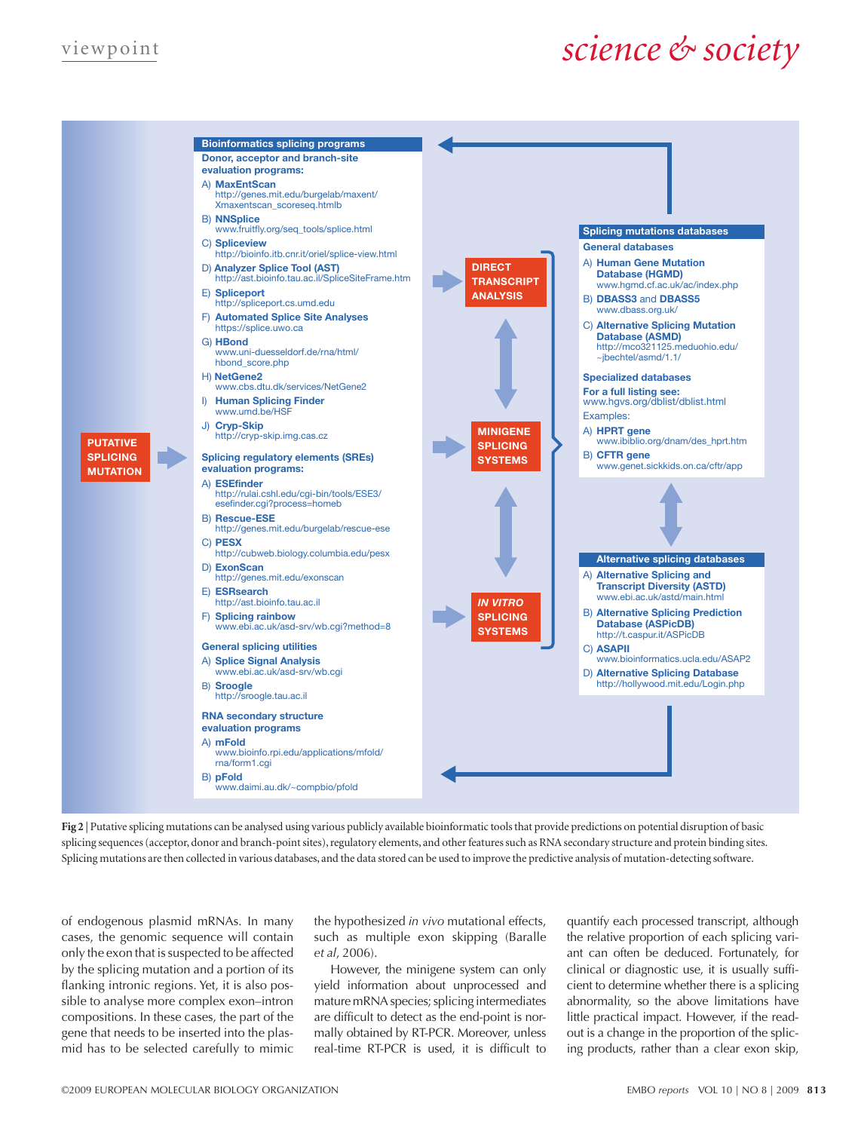### viewpoint *science & society*



**Fig 2** | Putative splicing mutations can be analysed using various publicly available bioinformatic tools that provide predictions on potential disruption of basic splicing sequences (acceptor, donor and branch-point sites), regulatory elements, and other features such as RNA secondary structure and protein binding sites. Splicing mutations are then collected in various databases, and the data stored can be used to improve the predictive analysis of mutation-detecting software.

of endogenous plasmid mRNAs. In many cases, the genomic sequence will contain only the exon that is suspected to be affected by the splicing mutation and a portion of its flanking intronic regions. Yet, it is also possible to analyse more complex exon–intron compositions. In these cases, the part of the gene that needs to be inserted into the plasmid has to be selected carefully to mimic the hypothesized *in vivo* mutational effects, such as multiple exon skipping (Baralle *et al*, 2006).

However, the minigene system can only yield information about unprocessed and mature mRNA species; splicing intermediates are difficult to detect as the end-point is normally obtained by RT-PCR. Moreover, unless real-time RT-PCR is used, it is difficult to quantify each processed transcript, although the relative proportion of each splicing variant can often be deduced. Fortunately, for clinical or diagnostic use, it is usually sufficient to determine whether there is a splicing abnormality, so the above limitations have little practical impact. However, if the readout is a change in the proportion of the splicing products, rather than a clear exon skip,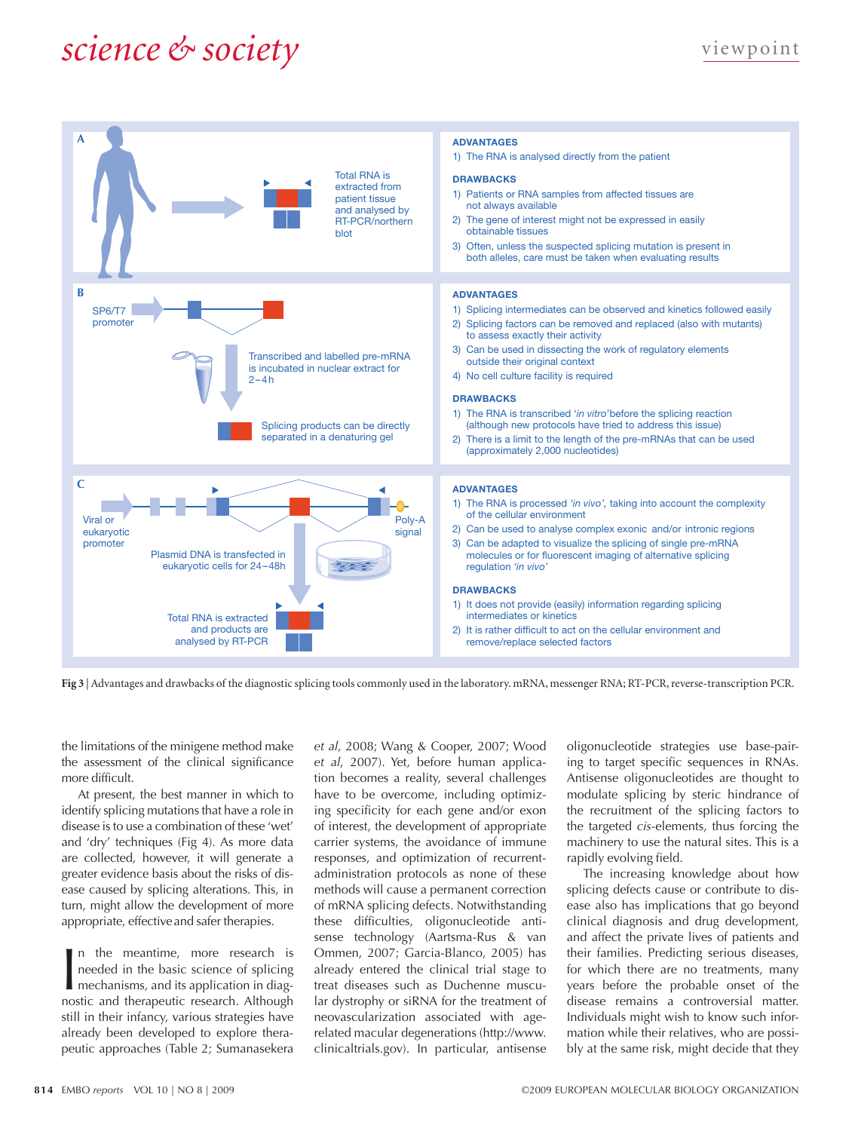### *science & society* viewpoint



**Fig 3** | Advantages and drawbacks of the diagnostic splicing tools commonly used in the laboratory. mRNA, messenger RNA; RT-PCR, reverse-transcription PCR.

the limitations of the minigene method make the assessment of the clinical significance more difficult.

At present, the best manner in which to identify splicing mutations that have a role in disease is to use a combination of these 'wet' and 'dry' techniques (Fig 4). As more data are collected, however, it will generate a greater evidence basis about the risks of disease caused by splicing alterations. This, in turn, might allow the development of more appropriate, effectiveand safer therapies.

In the meantime, more research is<br>needed in the basic science of splicing<br>mechanisms, and its application in diag-<br>nostic and therapeutic research. Although n the meantime, more research is needed in the basic science of splicing mechanisms, and its application in diagstill in their infancy, various strategies have already been developed to explore therapeutic approaches (Table 2; Sumanasekera

*et al*, 2008; Wang & Cooper, 2007; Wood *et al*, 2007). Yet, before human application becomes a reality, several challenges have to be overcome, including optimizing specificity for each gene and/or exon of interest, the development of appropriate carrier systems, the avoidance of immune responses, and optimization of recurrentadministration protocols as none of these methods will cause a permanent correction of mRNA splicing defects. Notwithstanding these difficulties, oligonucleotide antisense technology (Aartsma-Rus & van Ommen, 2007; Garcia-Blanco, 2005) has already entered the clinical trial stage to treat diseases such as Duchenne muscular dystrophy or siRNA for the treatment of neovascularization associated with agerelated macular degenerations [\(http://www.](http://www.clinicaltrials.gov) [clinicaltrials.gov\)](http://www.clinicaltrials.gov). In particular, antisense oligonucleotide strategies use base-pairing to target specific sequences in RNAs. Antisense oligonucleotides are thought to modulate splicing by steric hindrance of the recruitment of the splicing factors to the targeted *cis*-elements, thus forcing the machinery to use the natural sites. This is a rapidly evolving field.

The increasing knowledge about how splicing defects cause or contribute to disease also has implications that go beyond clinical diagnosis and drug development, and affect the private lives of patients and their families. Predicting serious diseases, for which there are no treatments, many years before the probable onset of the disease remains a controversial matter. Individuals might wish to know such information while their relatives, who are possibly at the same risk, might decide that they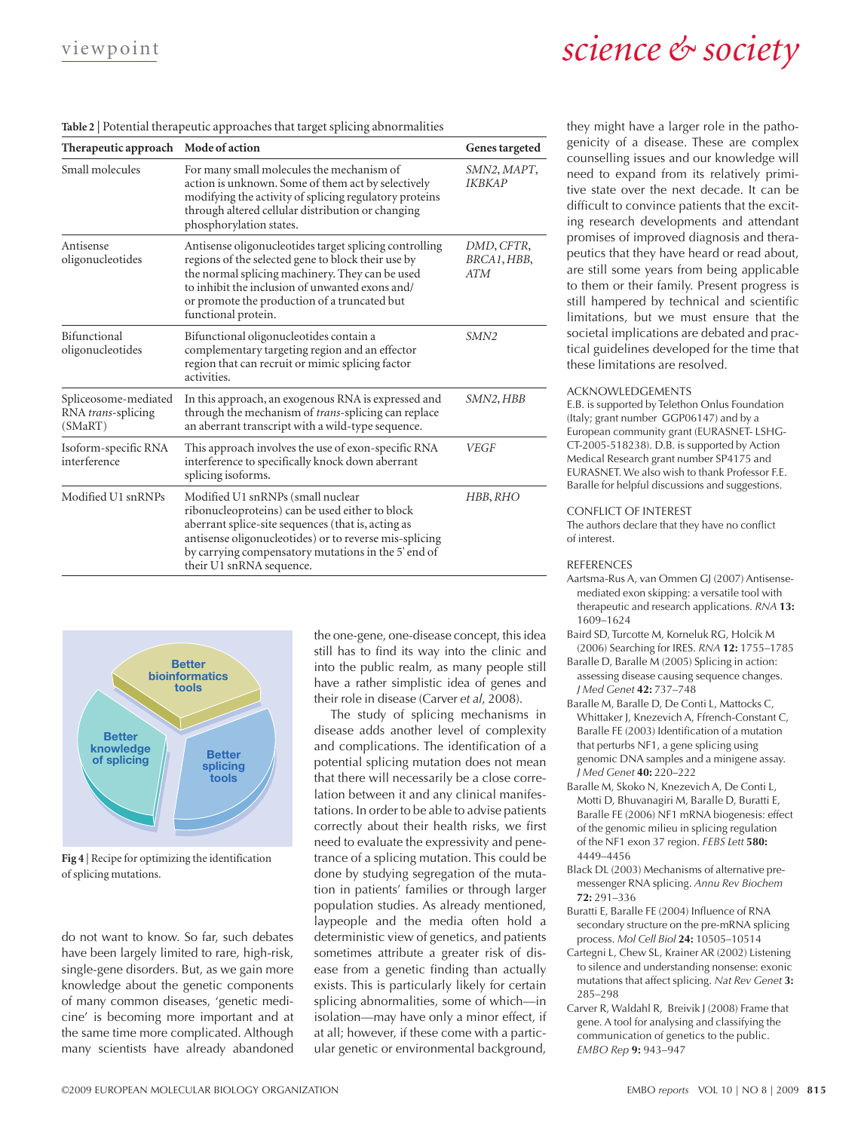## viewpoint *science & society*

| Therapeutic approach Mode of action                   |                                                                                                                                                                                                                                                                                           | Genes targeted                          |
|-------------------------------------------------------|-------------------------------------------------------------------------------------------------------------------------------------------------------------------------------------------------------------------------------------------------------------------------------------------|-----------------------------------------|
| Small molecules                                       | For many small molecules the mechanism of<br>action is unknown. Some of them act by selectively<br>modifying the activity of splicing regulatory proteins<br>through altered cellular distribution or changing<br>phosphorylation states.                                                 | SMN2, MAPT,<br><b>IKBKAP</b>            |
| Antisense<br>oligonucleotides                         | Antisense oligonucleotides target splicing controlling<br>regions of the selected gene to block their use by<br>the normal splicing machinery. They can be used<br>to inhibit the inclusion of unwanted exons and/<br>or promote the production of a truncated but<br>functional protein. | DMD, CFTR,<br>BRCA1, HBB,<br><b>ATM</b> |
| Bifunctional<br>oligonucleotides                      | Bifunctional oligonucleotides contain a<br>complementary targeting region and an effector<br>region that can recruit or mimic splicing factor<br>activities.                                                                                                                              | SM <sub>N2</sub>                        |
| Spliceosome-mediated<br>RNA trans-splicing<br>(SMaRT) | In this approach, an exogenous RNA is expressed and<br>through the mechanism of <i>trans</i> -splicing can replace<br>an aberrant transcript with a wild-type sequence.                                                                                                                   | SMN2, HBB                               |
| Isoform-specific RNA<br>interference                  | This approach involves the use of exon-specific RNA<br>interference to specifically knock down aberrant<br>splicing isoforms.                                                                                                                                                             | <b>VEGF</b>                             |
| Modified U1 snRNPs                                    | Modified U1 snRNPs (small nuclear<br>ribonucleoproteins) can be used either to block<br>aberrant splice-site sequences (that is, acting as<br>antisense oligonucleotides) or to reverse mis-splicing<br>by carrying compensatory mutations in the 5' end of<br>their U1 snRNA sequence.   | HBB, RHO                                |

### **Table 2** | Potential therapeutic approaches that target splicing abnormalities



**Fig 4** | Recipe for optimizing the identification of splicing mutations.

do not want to know. So far, such debates have been largely limited to rare, high-risk, single-gene disorders. But, as we gain more knowledge about the genetic components of many common diseases, 'genetic medicine' is becoming more important and at the same time more complicated. Although many scientists have already abandoned the one-gene, one-disease concept, this idea still has to find its way into the clinic and into the public realm, as many people still have a rather simplistic idea of genes and their role in disease (Carver *et al*, 2008).

The study of splicing mechanisms in disease adds another level of complexity and complications. The identification of a potential splicing mutation does not mean that there will necessarily be a close correlation between it and any clinical manifestations. In order to be able to advise patients correctly about their health risks, we first need to evaluate the expressivity and penetrance of a splicing mutation. This could be done by studying segregation of the mutation in patients' families or through larger population studies. As already mentioned, laypeople and the media often hold a deterministic view of genetics, and patients sometimes attribute a greater risk of disease from a genetic finding than actually exists. This is particularly likely for certain splicing abnormalities, some of which—in isolation—may have only a minor effect, if at all; however, if these come with a particular genetic or environmental background,

they might have a larger role in the pathogenicity of a disease. These are complex counselling issues and our knowledge will need to expand from its relatively primitive state over the next decade. It can be difficult to convince patients that the exciting research developments and attendant promises of improved diagnosis and therapeutics that they have heard or read about, are still some years from being applicable to them or their family. Present progress is still hampered by technical and scientific limitations, but we must ensure that the societal implications are debated and practical guidelines developed for the time that these limitations are resolved.

#### Acknowledgements

E.B. is supported by Telethon Onlus Foundation (Italy; grant number GGP06147) and by a European community grant (EURASNET- LSHG-CT-2005-518238). D.B. is supported by Action Medical Research grant number SP4175 and EURASNET. We also wish to thank Professor F.E. Baralle for helpful discussions and suggestions.

#### CONFLICT OF INTEREST

The authors declare that they have no conflict of interest.

#### REFERENCES

- Aartsma-Rus A, van Ommen GJ (2007) Antisensemediated exon skipping: a versatile tool with therapeutic and research applications. *RNA* **13:** 1609–1624
- Baird SD, Turcotte M, Korneluk RG, Holcik M (2006) Searching for IRES. *RNA* **12:** 1755–1785
- Baralle D, Baralle M (2005) Splicing in action: assessing disease causing sequence changes. *J Med Genet* **42:** 737–748
- Baralle M, Baralle D, De Conti L, Mattocks C, Whittaker J, Knezevich A, Ffrench-Constant C, Baralle FE (2003) Identification of a mutation that perturbs NF1, a gene splicing using genomic DNA samples and a minigene assay. *J Med Genet* **40:** 220–222
- Baralle M, Skoko N, Knezevich A, De Conti L, Motti D, Bhuvanagiri M, Baralle D, Buratti E, Baralle FE (2006) NF1 mRNA biogenesis: effect of the genomic milieu in splicing regulation of the NF1 exon 37 region. *FEBS Lett* **580:**  4449–4456
- Black DL (2003) Mechanisms of alternative premessenger RNA splicing. *Annu Rev Biochem* **72:** 291–336
- Buratti E, Baralle FE (2004) Influence of RNA secondary structure on the pre-mRNA splicing process. *Mol Cell Biol* **24:** 10505–10514
- Cartegni L, Chew SL, Krainer AR (2002) Listening to silence and understanding nonsense: exonic mutations that affect splicing. *Nat Rev Genet* **3:** 285–298
- Carver R, Waldahl R, Breivik J (2008) Frame that gene. A tool for analysing and classifying the communication of genetics to the public. *EMBO Rep* **9:** 943–947